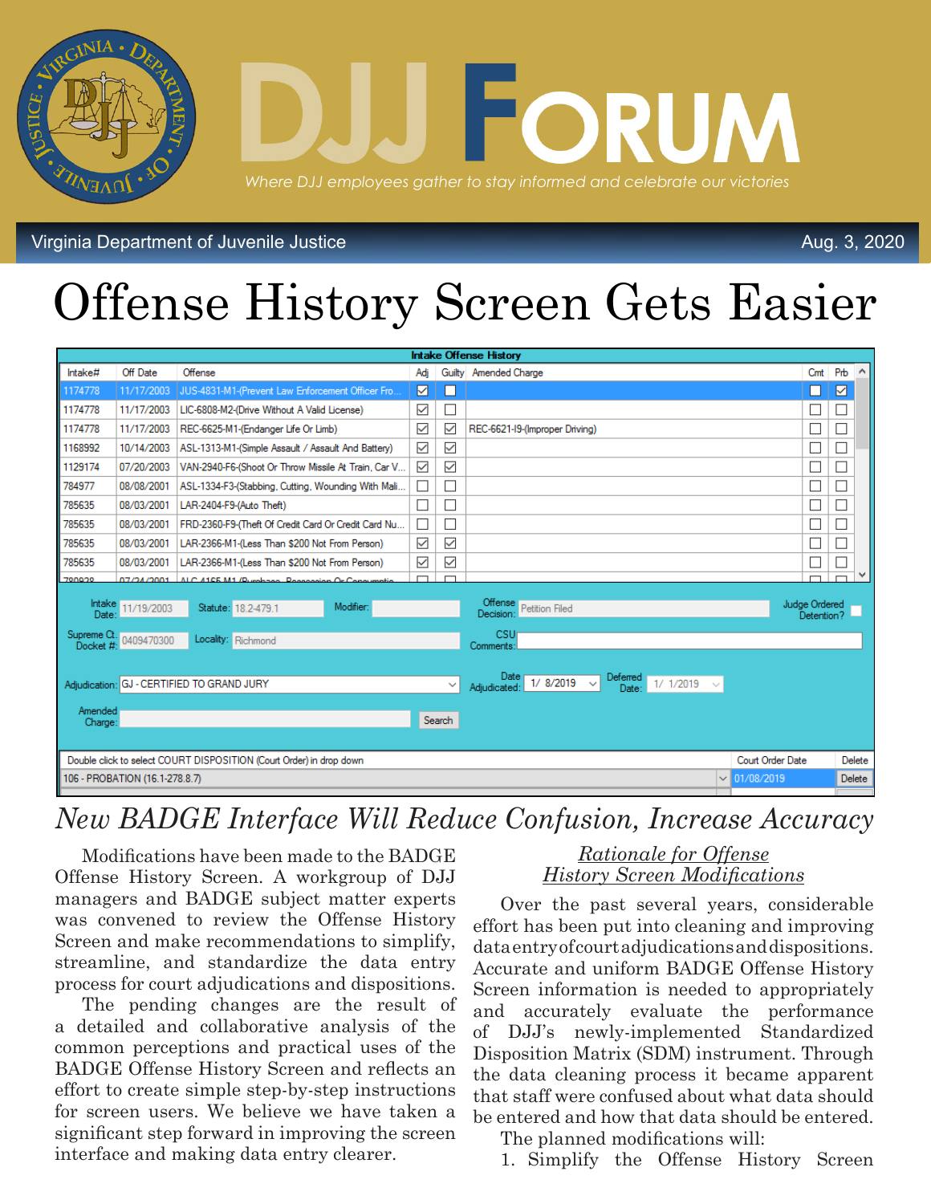

Virginia Department of Juvenile Justice

# Offense History Screen Gets Easier

| <b>Intake Offense History</b>                                       |                        |                                                     |              |                             |                                                                           |  |                             |                 |
|---------------------------------------------------------------------|------------------------|-----------------------------------------------------|--------------|-----------------------------|---------------------------------------------------------------------------|--|-----------------------------|-----------------|
| Intake#                                                             | Off Date               | Offense                                             | Adi          |                             | Guilty Amended Charge                                                     |  | Cmt                         | Prb<br>$\wedge$ |
| 1174778                                                             | 11/17/2003             | JUS-4831-M1-(Prevent Law Enforcement Officer Fro.   | 罓            | ш                           |                                                                           |  | H                           | ☑               |
| 1174778                                                             | 11/17/2003             | LIC-6808-M2-(Drive Without A Valid License)         | $\checkmark$ | $\Box$                      |                                                                           |  |                             |                 |
| 1174778                                                             | 11/17/2003             | REC-6625-M1-(Endanger Life Or Limb)                 | $\checkmark$ | $\checkmark$                | REC-6621-19-(Improper Driving)                                            |  |                             |                 |
| 1168992                                                             | 10/14/2003             | ASL-1313-M1-(Simple Assault / Assault And Battery)  | $\checkmark$ | $\checkmark$                |                                                                           |  |                             |                 |
| 1129174                                                             | 07/20/2003             | VAN-2940-F6-(Shoot Or Throw Missile At Train, Car V | $\checkmark$ | $\checkmark$                |                                                                           |  |                             |                 |
| 784977                                                              | 08/08/2001             | ASL-1334-F3-(Stabbing, Cutting, Wounding With Mali  | $\Box$       | $\Box$                      |                                                                           |  |                             |                 |
| 785635                                                              | 08/03/2001             | LAR-2404-F9-(Auto Theft)                            |              | $\Box$                      |                                                                           |  |                             |                 |
| 785635                                                              | 08/03/2001             | FRD-2360-F9-(Theft Of Credit Card Or Credit Card Nu | $\Box$       | $\mathcal{L}_{\mathcal{A}}$ |                                                                           |  |                             |                 |
| 785635                                                              | 08/03/2001             | LAR-2366-M1-(Less Than \$200 Not From Person)       | $\checkmark$ | $\checkmark$                |                                                                           |  |                             |                 |
| 785635                                                              | 08/03/2001             | LAR-2366-M1-(Less Than \$200 Not From Person)       | $\checkmark$ | $\checkmark$                |                                                                           |  |                             |                 |
| 700000                                                              | <b>DZZ24Z2001</b>      | ALC 41CE M1 (Burghage, Researcher Or Copy           | $\Box$       | $\Box$                      |                                                                           |  |                             | $\checkmark$    |
| Date:                                                               | Intake 11/19/2003      | Modifier:<br>Statute: 18.2-479.1                    |              |                             | <b>Offense</b><br><b>Petition Filed</b><br>Decision                       |  | Judge Ordered<br>Detention? |                 |
|                                                                     | Supreme Ct. 0409470300 | Locality: Richmond                                  |              |                             | <b>CSU</b><br>Comments:                                                   |  |                             |                 |
|                                                                     |                        | Adjudication: GJ - CERTIFIED TO GRAND JURY          |              | $\checkmark$                | Deferred<br>$1/8/2019$ $\vee$<br>$1/1/2019$ $\vee$<br>Adiudicated<br>Date |  |                             |                 |
| Amended<br>Charge:                                                  |                        |                                                     |              | Search                      |                                                                           |  |                             |                 |
| Double click to select COURT DISPOSITION (Court Order) in drop down |                        |                                                     |              |                             |                                                                           |  | Court Order Date            | Delete          |
| $\vee$ 01/08/2019<br>106 - PROBATION (16.1-278.8.7)                 |                        |                                                     |              |                             |                                                                           |  |                             | Delete          |
|                                                                     |                        |                                                     |              |                             |                                                                           |  |                             |                 |

# *New BADGE Interface Will Reduce Confusion, Increase Accuracy*

Modifications have been made to the BADGE Offense History Screen. A workgroup of DJJ managers and BADGE subject matter experts was convened to review the Offense History Screen and make recommendations to simplify, streamline, and standardize the data entry process for court adjudications and dispositions.

The pending changes are the result of a detailed and collaborative analysis of the common perceptions and practical uses of the BADGE Offense History Screen and reflects an effort to create simple step-by-step instructions for screen users. We believe we have taken a significant step forward in improving the screen interface and making data entry clearer.

### *Rationale for Offense History Screen Modifications*

Aug. 3, 2020

Over the past several years, considerable effort has been put into cleaning and improving data entry of court adjudications and dispositions. Accurate and uniform BADGE Offense History Screen information is needed to appropriately and accurately evaluate the performance of DJJ's newly-implemented Standardized Disposition Matrix (SDM) instrument. Through the data cleaning process it became apparent that staff were confused about what data should be entered and how that data should be entered.

The planned modifications will:

1. Simplify the Offense History Screen